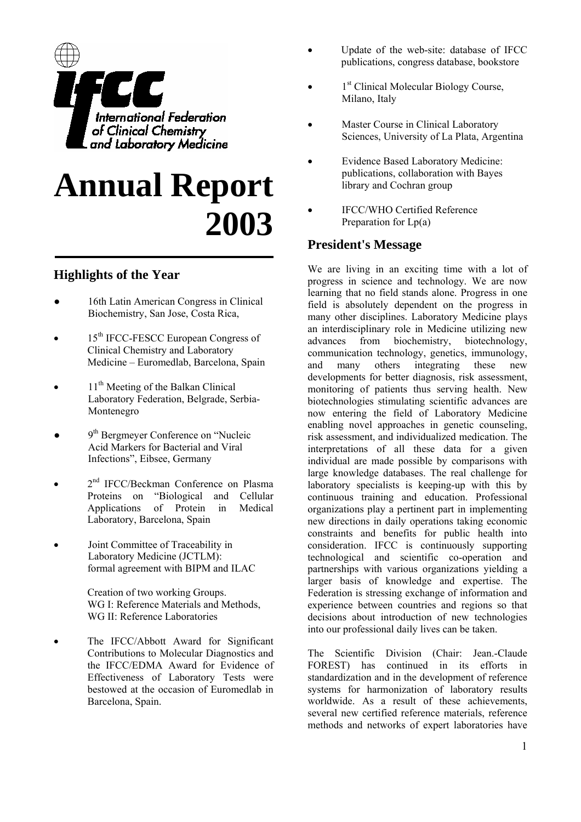

# **Annual Report 2003**

# **Highlights of the Year**

- 16th Latin American Congress in Clinical Biochemistry, San Jose, Costa Rica,
- 15<sup>th</sup> IFCC-FESCC European Congress of Clinical Chemistry and Laboratory Medicine – Euromedlab, Barcelona, Spain
- $11<sup>th</sup>$  Meeting of the Balkan Clinical Laboratory Federation, Belgrade, Serbia-Montenegro
- $\bullet$  9<sup>th</sup> Bergmeyer Conference on "Nucleic Acid Markers for Bacterial and Viral Infections", Eibsee, Germany
- 2<sup>nd</sup> IFCC/Beckman Conference on Plasma Proteins on "Biological and Cellular Applications of Protein in Medical Laboratory, Barcelona, Spain
- Joint Committee of Traceability in Laboratory Medicine (JCTLM): formal agreement with BIPM and ILAC

Creation of two working Groups. WG I: Reference Materials and Methods. WG II: Reference Laboratories

The IFCC/Abbott Award for Significant Contributions to Molecular Diagnostics and the IFCC/EDMA Award for Evidence of Effectiveness of Laboratory Tests were bestowed at the occasion of Euromedlab in Barcelona, Spain.

- Update of the web-site: database of IFCC publications, congress database, bookstore
- 1<sup>st</sup> Clinical Molecular Biology Course, Milano, Italy
- Master Course in Clinical Laboratory Sciences, University of La Plata, Argentina
- Evidence Based Laboratory Medicine: publications, collaboration with Bayes library and Cochran group
- IFCC/WHO Certified Reference Preparation for  $Lp(a)$

# **President's Message**

We are living in an exciting time with a lot of progress in science and technology. We are now learning that no field stands alone. Progress in one field is absolutely dependent on the progress in many other disciplines. Laboratory Medicine plays an interdisciplinary role in Medicine utilizing new advances from biochemistry, biotechnology, communication technology, genetics, immunology, and many others integrating these new developments for better diagnosis, risk assessment, monitoring of patients thus serving health. New biotechnologies stimulating scientific advances are now entering the field of Laboratory Medicine enabling novel approaches in genetic counseling, risk assessment, and individualized medication. The interpretations of all these data for a given individual are made possible by comparisons with large knowledge databases. The real challenge for laboratory specialists is keeping-up with this by continuous training and education. Professional organizations play a pertinent part in implementing new directions in daily operations taking economic constraints and benefits for public health into consideration. IFCC is continuously supporting technological and scientific co-operation and partnerships with various organizations yielding a larger basis of knowledge and expertise. The Federation is stressing exchange of information and experience between countries and regions so that decisions about introduction of new technologies into our professional daily lives can be taken.

The Scientific Division (Chair: Jean.-Claude FOREST) has continued in its efforts in standardization and in the development of reference systems for harmonization of laboratory results worldwide. As a result of these achievements, several new certified reference materials, reference methods and networks of expert laboratories have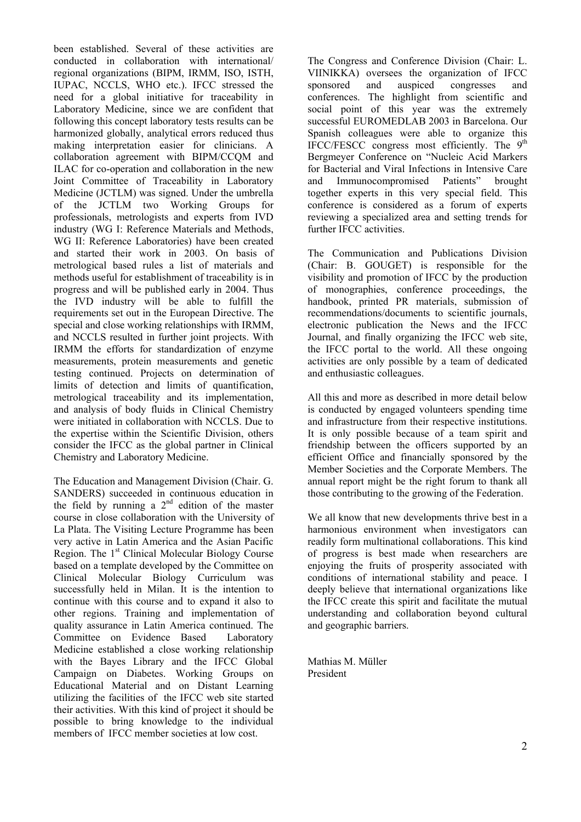been established. Several of these activities are conducted in collaboration with international/ regional organizations (BIPM, IRMM, ISO, ISTH, IUPAC, NCCLS, WHO etc.). IFCC stressed the need for a global initiative for traceability in Laboratory Medicine, since we are confident that following this concept laboratory tests results can be harmonized globally, analytical errors reduced thus making interpretation easier for clinicians. A collaboration agreement with BIPM/CCQM and ILAC for co-operation and collaboration in the new Joint Committee of Traceability in Laboratory Medicine (JCTLM) was signed. Under the umbrella of the JCTLM two Working Groups for professionals, metrologists and experts from IVD industry (WG I: Reference Materials and Methods, WG II: Reference Laboratories) have been created and started their work in 2003. On basis of metrological based rules a list of materials and methods useful for establishment of traceability is in progress and will be published early in 2004. Thus the IVD industry will be able to fulfill the requirements set out in the European Directive. The special and close working relationships with IRMM, and NCCLS resulted in further joint projects. With IRMM the efforts for standardization of enzyme measurements, protein measurements and genetic testing continued. Projects on determination of limits of detection and limits of quantification, metrological traceability and its implementation, and analysis of body fluids in Clinical Chemistry were initiated in collaboration with NCCLS. Due to the expertise within the Scientific Division, others consider the IFCC as the global partner in Clinical Chemistry and Laboratory Medicine.

The Education and Management Division (Chair. G. SANDERS) succeeded in continuous education in the field by running a  $2<sup>nd</sup>$  edition of the master course in close collaboration with the University of La Plata. The Visiting Lecture Programme has been very active in Latin America and the Asian Pacific Region. The 1<sup>st</sup> Clinical Molecular Biology Course based on a template developed by the Committee on Clinical Molecular Biology Curriculum was successfully held in Milan. It is the intention to continue with this course and to expand it also to other regions. Training and implementation of quality assurance in Latin America continued. The Committee on Evidence Based Laboratory Medicine established a close working relationship with the Bayes Library and the IFCC Global Campaign on Diabetes. Working Groups on Educational Material and on Distant Learning utilizing the facilities of the IFCC web site started their activities. With this kind of project it should be possible to bring knowledge to the individual members of IFCC member societies at low cost.

The Congress and Conference Division (Chair: L. VIINIKKA) oversees the organization of IFCC sponsored and auspiced congresses and conferences. The highlight from scientific and social point of this year was the extremely successful EUROMEDLAB 2003 in Barcelona. Our Spanish colleagues were able to organize this IFCC/FESCC congress most efficiently. The  $9<sup>th</sup>$ Bergmeyer Conference on "Nucleic Acid Markers for Bacterial and Viral Infections in Intensive Care and Immunocompromised Patients" brought together experts in this very special field. This conference is considered as a forum of experts reviewing a specialized area and setting trends for further IFCC activities.

The Communication and Publications Division (Chair: B. GOUGET) is responsible for the visibility and promotion of IFCC by the production of monographies, conference proceedings, the handbook, printed PR materials, submission of recommendations/documents to scientific journals, electronic publication the News and the IFCC Journal, and finally organizing the IFCC web site, the IFCC portal to the world. All these ongoing activities are only possible by a team of dedicated and enthusiastic colleagues.

All this and more as described in more detail below is conducted by engaged volunteers spending time and infrastructure from their respective institutions. It is only possible because of a team spirit and friendship between the officers supported by an efficient Office and financially sponsored by the Member Societies and the Corporate Members. The annual report might be the right forum to thank all those contributing to the growing of the Federation.

We all know that new developments thrive best in a harmonious environment when investigators can readily form multinational collaborations. This kind of progress is best made when researchers are enjoying the fruits of prosperity associated with conditions of international stability and peace. I deeply believe that international organizations like the IFCC create this spirit and facilitate the mutual understanding and collaboration beyond cultural and geographic barriers.

Mathias M. Müller President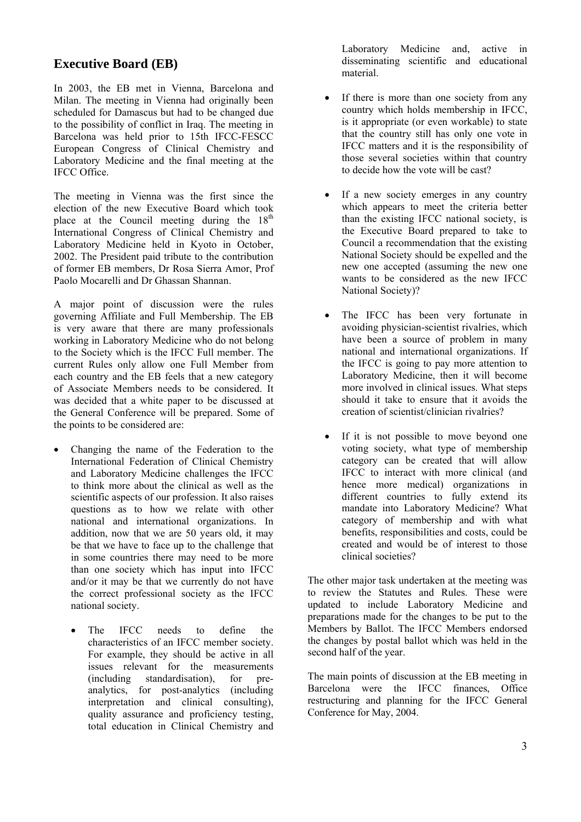# **Executive Board (EB)**

In 2003, the EB met in Vienna, Barcelona and Milan. The meeting in Vienna had originally been scheduled for Damascus but had to be changed due to the possibility of conflict in Iraq. The meeting in Barcelona was held prior to 15th IFCC-FESCC European Congress of Clinical Chemistry and Laboratory Medicine and the final meeting at the IFCC Office.

The meeting in Vienna was the first since the election of the new Executive Board which took place at the Council meeting during the  $18<sup>th</sup>$ International Congress of Clinical Chemistry and Laboratory Medicine held in Kyoto in October, 2002. The President paid tribute to the contribution of former EB members, Dr Rosa Sierra Amor, Prof Paolo Mocarelli and Dr Ghassan Shannan.

A major point of discussion were the rules governing Affiliate and Full Membership. The EB is very aware that there are many professionals working in Laboratory Medicine who do not belong to the Society which is the IFCC Full member. The current Rules only allow one Full Member from each country and the EB feels that a new category of Associate Members needs to be considered. It was decided that a white paper to be discussed at the General Conference will be prepared. Some of the points to be considered are:

- Changing the name of the Federation to the International Federation of Clinical Chemistry and Laboratory Medicine challenges the IFCC to think more about the clinical as well as the scientific aspects of our profession. It also raises questions as to how we relate with other national and international organizations. In addition, now that we are 50 years old, it may be that we have to face up to the challenge that in some countries there may need to be more than one society which has input into IFCC and/or it may be that we currently do not have the correct professional society as the IFCC national society.
	- The IFCC needs to define the characteristics of an IFCC member society. For example, they should be active in all issues relevant for the measurements (including standardisation), for preanalytics, for post-analytics (including interpretation and clinical consulting), quality assurance and proficiency testing, total education in Clinical Chemistry and

Laboratory Medicine and, active in disseminating scientific and educational material.

- If there is more than one society from any country which holds membership in IFCC, is it appropriate (or even workable) to state that the country still has only one vote in IFCC matters and it is the responsibility of those several societies within that country to decide how the vote will be cast?
- If a new society emerges in any country which appears to meet the criteria better than the existing IFCC national society, is the Executive Board prepared to take to Council a recommendation that the existing National Society should be expelled and the new one accepted (assuming the new one wants to be considered as the new IFCC National Society)?
- The IFCC has been very fortunate in avoiding physician-scientist rivalries, which have been a source of problem in many national and international organizations. If the IFCC is going to pay more attention to Laboratory Medicine, then it will become more involved in clinical issues. What steps should it take to ensure that it avoids the creation of scientist/clinician rivalries?
- If it is not possible to move beyond one voting society, what type of membership category can be created that will allow IFCC to interact with more clinical (and hence more medical) organizations in different countries to fully extend its mandate into Laboratory Medicine? What category of membership and with what benefits, responsibilities and costs, could be created and would be of interest to those clinical societies?

The other major task undertaken at the meeting was to review the Statutes and Rules. These were updated to include Laboratory Medicine and preparations made for the changes to be put to the Members by Ballot. The IFCC Members endorsed the changes by postal ballot which was held in the second half of the year.

The main points of discussion at the EB meeting in Barcelona were the IFCC finances, Office restructuring and planning for the IFCC General Conference for May, 2004.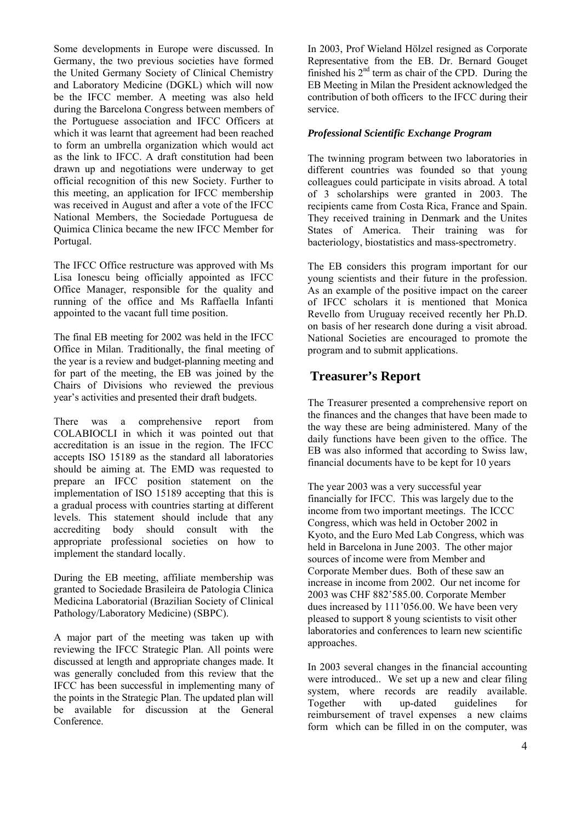Some developments in Europe were discussed. In Germany, the two previous societies have formed the United Germany Society of Clinical Chemistry and Laboratory Medicine (DGKL) which will now be the IFCC member. A meeting was also held during the Barcelona Congress between members of the Portuguese association and IFCC Officers at which it was learnt that agreement had been reached to form an umbrella organization which would act as the link to IFCC. A draft constitution had been drawn up and negotiations were underway to get official recognition of this new Society. Further to this meeting, an application for IFCC membership was received in August and after a vote of the IFCC National Members, the Sociedade Portuguesa de Quimica Clinica became the new IFCC Member for Portugal.

The IFCC Office restructure was approved with Ms Lisa Ionescu being officially appointed as IFCC Office Manager, responsible for the quality and running of the office and Ms Raffaella Infanti appointed to the vacant full time position.

The final EB meeting for 2002 was held in the IFCC Office in Milan. Traditionally, the final meeting of the year is a review and budget-planning meeting and for part of the meeting, the EB was joined by the Chairs of Divisions who reviewed the previous year's activities and presented their draft budgets.

There was a comprehensive report from COLABIOCLI in which it was pointed out that accreditation is an issue in the region. The IFCC accepts ISO 15189 as the standard all laboratories should be aiming at. The EMD was requested to prepare an IFCC position statement on the implementation of ISO 15189 accepting that this is a gradual process with countries starting at different levels. This statement should include that any accrediting body should consult with the appropriate professional societies on how to implement the standard locally.

During the EB meeting, affiliate membership was granted to Sociedade Brasileira de Patologia Clinica Medicina Laboratorial (Brazilian Society of Clinical Pathology/Laboratory Medicine) (SBPC).

A major part of the meeting was taken up with reviewing the IFCC Strategic Plan. All points were discussed at length and appropriate changes made. It was generally concluded from this review that the IFCC has been successful in implementing many of the points in the Strategic Plan. The updated plan will be available for discussion at the General **Conference** 

In 2003, Prof Wieland Hölzel resigned as Corporate Representative from the EB. Dr. Bernard Gouget finished his  $2<sup>nd</sup>$  term as chair of the CPD. During the EB Meeting in Milan the President acknowledged the contribution of both officers to the IFCC during their service.

#### *Professional Scientific Exchange Program*

The twinning program between two laboratories in different countries was founded so that young colleagues could participate in visits abroad. A total of 3 scholarships were granted in 2003. The recipients came from Costa Rica, France and Spain. They received training in Denmark and the Unites States of America. Their training was for bacteriology, biostatistics and mass-spectrometry.

The EB considers this program important for our young scientists and their future in the profession. As an example of the positive impact on the career of IFCC scholars it is mentioned that Monica Revello from Uruguay received recently her Ph.D. on basis of her research done during a visit abroad. National Societies are encouraged to promote the program and to submit applications.

# **Treasurer's Report**

The Treasurer presented a comprehensive report on the finances and the changes that have been made to the way these are being administered. Many of the daily functions have been given to the office. The EB was also informed that according to Swiss law, financial documents have to be kept for 10 years

The year 2003 was a very successful year financially for IFCC. This was largely due to the income from two important meetings. The ICCC Congress, which was held in October 2002 in Kyoto, and the Euro Med Lab Congress, which was held in Barcelona in June 2003. The other major sources of income were from Member and Corporate Member dues. Both of these saw an increase in income from 2002. Our net income for 2003 was CHF 882'585.00. Corporate Member dues increased by 111'056.00. We have been very pleased to support 8 young scientists to visit other laboratories and conferences to learn new scientific approaches.

In 2003 several changes in the financial accounting were introduced.. We set up a new and clear filing system, where records are readily available. Together with up-dated guidelines for reimbursement of travel expenses a new claims form which can be filled in on the computer, was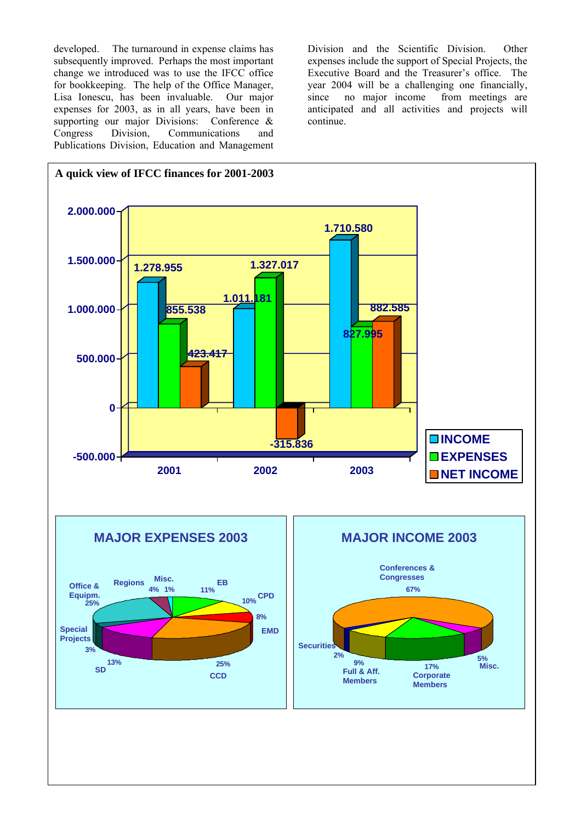developed. The turnaround in expense claims has subsequently improved. Perhaps the most important change we introduced was to use the IFCC office for bookkeeping. The help of the Office Manager, Lisa Ionescu, has been invaluable. Our major expenses for 2003, as in all years, have been in supporting our major Divisions: Conference & Congress Division, Communications and Publications Division, Education and Management

Division and the Scientific Division. Other expenses include the support of Special Projects, the Executive Board and the Treasurer's office. The year 2004 will be a challenging one financially, since no major income from meetings are anticipated and all activities and projects will continue.

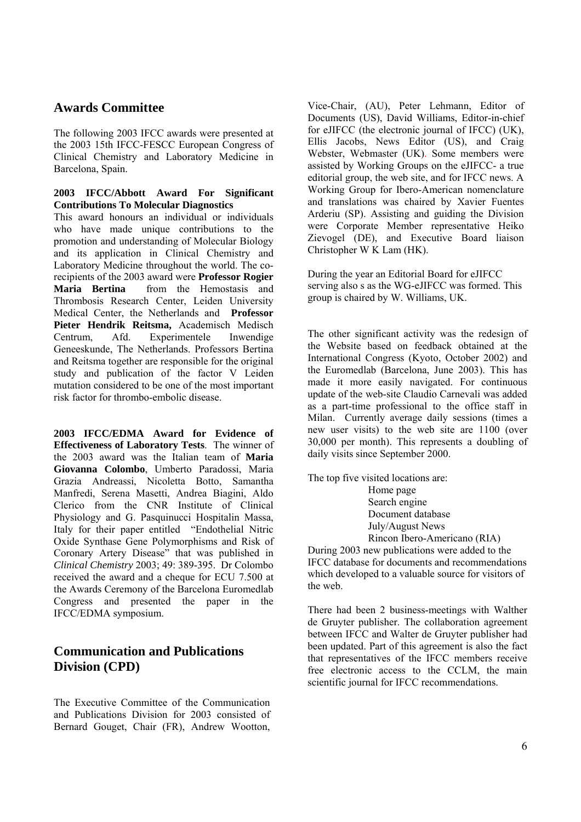# **Awards Committee**

The following 2003 IFCC awards were presented at the 2003 15th IFCC-FESCC European Congress of Clinical Chemistry and Laboratory Medicine in Barcelona, Spain.

#### **2003 IFCC/Abbott Award For Significant Contributions To Molecular Diagnostics**

This award honours an individual or individuals who have made unique contributions to the promotion and understanding of Molecular Biology and its application in Clinical Chemistry and Laboratory Medicine throughout the world. The corecipients of the 2003 award were **Professor Rogier Maria Bertina** from the Hemostasis and Thrombosis Research Center, Leiden University Medical Center, the Netherlands and **Professor Pieter Hendrik Reitsma,** Academisch Medisch Centrum, Afd. Experimentele Inwendige Geneeskunde, The Netherlands. Professors Bertina and Reitsma together are responsible for the original study and publication of the factor V Leiden mutation considered to be one of the most important risk factor for thrombo-embolic disease.

**2003 IFCC/EDMA Award for Evidence of Effectiveness of Laboratory Tests**. The winner of the 2003 award was the Italian team of **Maria Giovanna Colombo**, Umberto Paradossi, Maria Grazia Andreassi, Nicoletta Botto, Samantha Manfredi, Serena Masetti, Andrea Biagini, Aldo Clerico from the CNR Institute of Clinical Physiology and G. Pasquinucci Hospitalin Massa, Italy for their paper entitled "Endothelial Nitric Oxide Synthase Gene Polymorphisms and Risk of Coronary Artery Disease" that was published in *Clinical Chemistry* 2003; 49: 389-395. Dr Colombo received the award and a cheque for ECU 7.500 at the Awards Ceremony of the Barcelona Euromedlab Congress and presented the paper in the IFCC/EDMA symposium.

# **Communication and Publications Division (CPD)**

The Executive Committee of the Communication and Publications Division for 2003 consisted of Bernard Gouget, Chair (FR), Andrew Wootton,

Vice-Chair, (AU), Peter Lehmann, Editor of Documents (US), David Williams, Editor-in-chief for eJIFCC (the electronic journal of IFCC) (UK), Ellis Jacobs, News Editor (US), and Craig Webster, Webmaster (UK). Some members were assisted by Working Groups on the eJIFCC- a true editorial group, the web site, and for IFCC news. A Working Group for Ibero-American nomenclature and translations was chaired by Xavier Fuentes Arderiu (SP). Assisting and guiding the Division were Corporate Member representative Heiko Zievogel (DE), and Executive Board liaison Christopher W K Lam (HK).

During the year an Editorial Board for eJIFCC serving also s as the WG-eJIFCC was formed. This group is chaired by W. Williams, UK.

The other significant activity was the redesign of the Website based on feedback obtained at the International Congress (Kyoto, October 2002) and the Euromedlab (Barcelona, June 2003). This has made it more easily navigated. For continuous update of the web-site Claudio Carnevali was added as a part-time professional to the office staff in Milan. Currently average daily sessions (times a new user visits) to the web site are 1100 (over 30,000 per month). This represents a doubling of daily visits since September 2000.

The top five visited locations are: Home page Search engine Document database July/August News Rincon Ibero-Americano (RIA)

During 2003 new publications were added to the IFCC database for documents and recommendations which developed to a valuable source for visitors of the web.

There had been 2 business-meetings with Walther de Gruyter publisher. The collaboration agreement between IFCC and Walter de Gruyter publisher had been updated. Part of this agreement is also the fact that representatives of the IFCC members receive free electronic access to the CCLM, the main scientific journal for IFCC recommendations.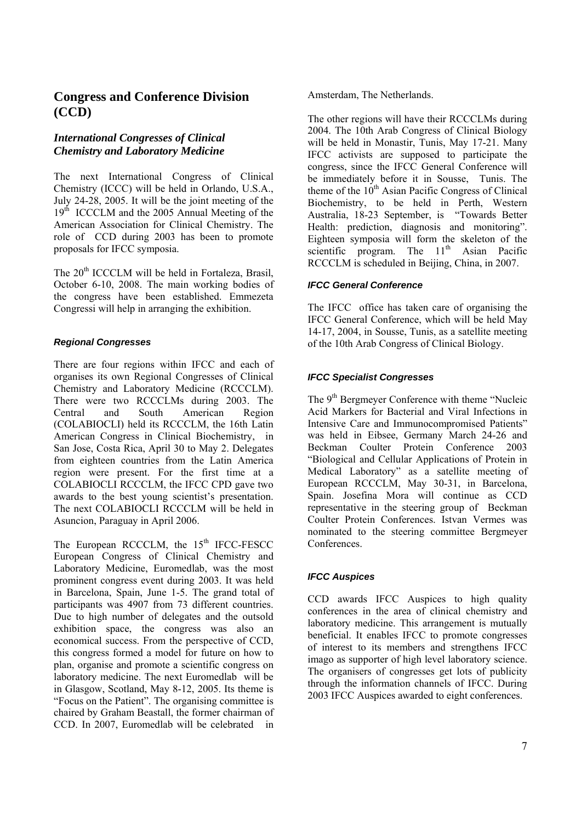# **Congress and Conference Division (CCD)**

# *International Congresses of Clinical Chemistry and Laboratory Medicine*

The next International Congress of Clinical Chemistry (ICCC) will be held in Orlando, U.S.A., July 24-28, 2005. It will be the joint meeting of the 19<sup>th</sup> ICCCLM and the 2005 Annual Meeting of the American Association for Clinical Chemistry. The role of CCD during 2003 has been to promote proposals for IFCC symposia.

The 20<sup>th</sup> ICCCLM will be held in Fortaleza, Brasil, October 6-10, 2008. The main working bodies of the congress have been established. Emmezeta Congressi will help in arranging the exhibition.

## *Regional Congresses*

There are four regions within IFCC and each of organises its own Regional Congresses of Clinical Chemistry and Laboratory Medicine (RCCCLM). There were two RCCCLMs during 2003. The Central and South American Region (COLABIOCLI) held its RCCCLM, the 16th Latin American Congress in Clinical Biochemistry, in San Jose, Costa Rica, April 30 to May 2. Delegates from eighteen countries from the Latin America region were present. For the first time at a COLABIOCLI RCCCLM, the IFCC CPD gave two awards to the best young scientist's presentation. The next COLABIOCLI RCCCLM will be held in Asuncion, Paraguay in April 2006.

The European RCCCLM, the 15<sup>th</sup> IFCC-FESCC European Congress of Clinical Chemistry and Laboratory Medicine, Euromedlab, was the most prominent congress event during 2003. It was held in Barcelona, Spain, June 1-5. The grand total of participants was 4907 from 73 different countries. Due to high number of delegates and the outsold exhibition space, the congress was also an economical success. From the perspective of CCD, this congress formed a model for future on how to plan, organise and promote a scientific congress on laboratory medicine. The next Euromedlab will be in Glasgow, Scotland, May 8-12, 2005. Its theme is "Focus on the Patient". The organising committee is chaired by Graham Beastall, the former chairman of CCD. In 2007, Euromedlab will be celebrated in

Amsterdam, The Netherlands.

The other regions will have their RCCCLMs during 2004. The 10th Arab Congress of Clinical Biology will be held in Monastir, Tunis, May 17-21. Many IFCC activists are supposed to participate the congress, since the IFCC General Conference will be immediately before it in Sousse, Tunis. The theme of the  $10<sup>th</sup>$  Asian Pacific Congress of Clinical Biochemistry, to be held in Perth, Western Australia, 18-23 September, is "Towards Better Health: prediction, diagnosis and monitoring". Eighteen symposia will form the skeleton of the scientific program. The  $11<sup>th</sup>$  Asian Pacific RCCCLM is scheduled in Beijing, China, in 2007.

#### *IFCC General Conference*

The IFCC office has taken care of organising the IFCC General Conference, which will be held May 14-17, 2004, in Sousse, Tunis, as a satellite meeting of the 10th Arab Congress of Clinical Biology.

## *IFCC Specialist Congresses*

The 9<sup>th</sup> Bergmeyer Conference with theme "Nucleic" Acid Markers for Bacterial and Viral Infections in Intensive Care and Immunocompromised Patients" was held in Eibsee, Germany March 24-26 and Beckman Coulter Protein Conference 2003 "Biological and Cellular Applications of Protein in Medical Laboratory" as a satellite meeting of European RCCCLM, May 30-31, in Barcelona, Spain. Josefina Mora will continue as CCD representative in the steering group of Beckman Coulter Protein Conferences. Istvan Vermes was nominated to the steering committee Bergmeyer **Conferences** 

## *IFCC Auspices*

CCD awards IFCC Auspices to high quality conferences in the area of clinical chemistry and laboratory medicine. This arrangement is mutually beneficial. It enables IFCC to promote congresses of interest to its members and strengthens IFCC imago as supporter of high level laboratory science. The organisers of congresses get lots of publicity through the information channels of IFCC. During 2003 IFCC Auspices awarded to eight conferences.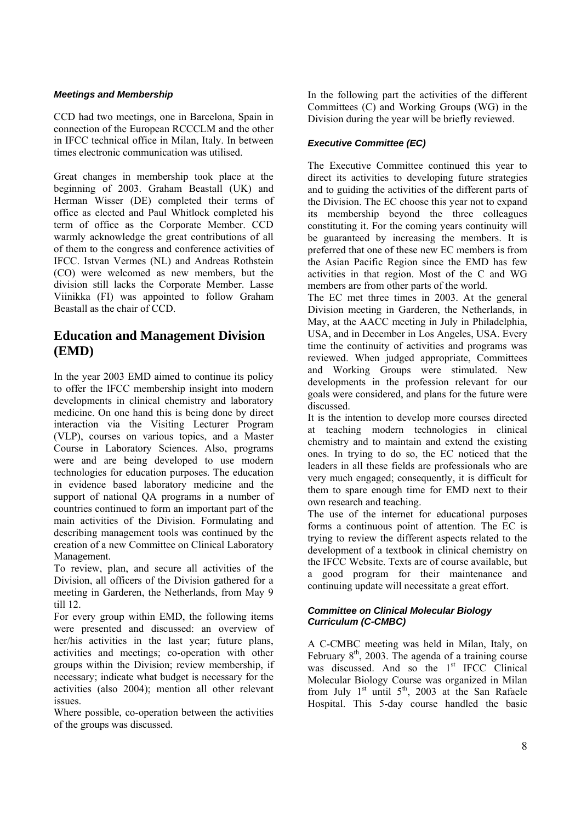#### *Meetings and Membership*

CCD had two meetings, one in Barcelona, Spain in connection of the European RCCCLM and the other in IFCC technical office in Milan, Italy. In between times electronic communication was utilised.

Great changes in membership took place at the beginning of 2003. Graham Beastall (UK) and Herman Wisser (DE) completed their terms of office as elected and Paul Whitlock completed his term of office as the Corporate Member. CCD warmly acknowledge the great contributions of all of them to the congress and conference activities of IFCC. Istvan Vermes (NL) and Andreas Rothstein (CO) were welcomed as new members, but the division still lacks the Corporate Member. Lasse Viinikka (FI) was appointed to follow Graham Beastall as the chair of CCD.

# **Education and Management Division (EMD)**

In the year 2003 EMD aimed to continue its policy to offer the IFCC membership insight into modern developments in clinical chemistry and laboratory medicine. On one hand this is being done by direct interaction via the Visiting Lecturer Program (VLP), courses on various topics, and a Master Course in Laboratory Sciences. Also, programs were and are being developed to use modern technologies for education purposes. The education in evidence based laboratory medicine and the support of national QA programs in a number of countries continued to form an important part of the main activities of the Division. Formulating and describing management tools was continued by the creation of a new Committee on Clinical Laboratory Management.

To review, plan, and secure all activities of the Division, all officers of the Division gathered for a meeting in Garderen, the Netherlands, from May 9 till 12.

For every group within EMD, the following items were presented and discussed: an overview of her/his activities in the last year; future plans, activities and meetings; co-operation with other groups within the Division; review membership, if necessary; indicate what budget is necessary for the activities (also 2004); mention all other relevant issues.

Where possible, co-operation between the activities of the groups was discussed.

In the following part the activities of the different Committees (C) and Working Groups (WG) in the Division during the year will be briefly reviewed.

#### *Executive Committee (EC)*

The Executive Committee continued this year to direct its activities to developing future strategies and to guiding the activities of the different parts of the Division. The EC choose this year not to expand its membership beyond the three colleagues constituting it. For the coming years continuity will be guaranteed by increasing the members. It is preferred that one of these new EC members is from the Asian Pacific Region since the EMD has few activities in that region. Most of the C and WG members are from other parts of the world.

The EC met three times in 2003. At the general Division meeting in Garderen, the Netherlands, in May, at the AACC meeting in July in Philadelphia, USA, and in December in Los Angeles, USA. Every time the continuity of activities and programs was reviewed. When judged appropriate, Committees and Working Groups were stimulated. New developments in the profession relevant for our goals were considered, and plans for the future were discussed.

It is the intention to develop more courses directed at teaching modern technologies in clinical chemistry and to maintain and extend the existing ones. In trying to do so, the EC noticed that the leaders in all these fields are professionals who are very much engaged; consequently, it is difficult for them to spare enough time for EMD next to their own research and teaching.

The use of the internet for educational purposes forms a continuous point of attention. The EC is trying to review the different aspects related to the development of a textbook in clinical chemistry on the IFCC Website. Texts are of course available, but a good program for their maintenance and continuing update will necessitate a great effort.

#### *Committee on Clinical Molecular Biology Curriculum (C-CMBC)*

A C-CMBC meeting was held in Milan, Italy, on February  $8<sup>th</sup>$ , 2003. The agenda of a training course was discussed. And so the  $1<sup>st</sup>$  IFCC Clinical Molecular Biology Course was organized in Milan from July  $1^{st}$  until  $5^{th}$ , 2003 at the San Rafaele Hospital. This 5-day course handled the basic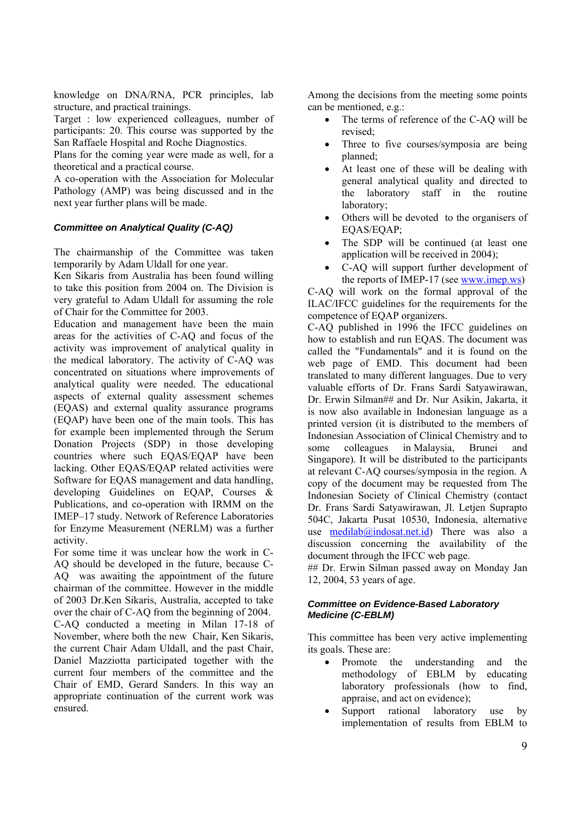knowledge on DNA/RNA, PCR principles, lab structure, and practical trainings.

Target : low experienced colleagues, number of participants: 20. This course was supported by the San Raffaele Hospital and Roche Diagnostics.

Plans for the coming year were made as well, for a theoretical and a practical course.

A co-operation with the Association for Molecular Pathology (AMP) was being discussed and in the next year further plans will be made.

#### *Committee on Analytical Quality (C-AQ)*

The chairmanship of the Committee was taken temporarily by Adam Uldall for one year.

Ken Sikaris from Australia has been found willing to take this position from 2004 on. The Division is very grateful to Adam Uldall for assuming the role of Chair for the Committee for 2003.

Education and management have been the main areas for the activities of C-AQ and focus of the activity was improvement of analytical quality in the medical laboratory. The activity of C-AQ was concentrated on situations where improvements of analytical quality were needed. The educational aspects of external quality assessment schemes (EQAS) and external quality assurance programs (EQAP) have been one of the main tools. This has for example been implemented through the Serum Donation Projects (SDP) in those developing countries where such EQAS/EQAP have been lacking. Other EQAS/EQAP related activities were Software for EQAS management and data handling, developing Guidelines on EQAP, Courses & Publications, and co-operation with IRMM on the IMEP–17 study. Network of Reference Laboratories for Enzyme Measurement (NERLM) was a further activity.

For some time it was unclear how the work in C-AQ should be developed in the future, because C-AQ was awaiting the appointment of the future chairman of the committee. However in the middle of 2003 Dr.Ken Sikaris, Australia, accepted to take over the chair of C-AQ from the beginning of 2004. C-AQ conducted a meeting in Milan 17-18 of November, where both the new Chair, Ken Sikaris, the current Chair Adam Uldall, and the past Chair, Daniel Mazziotta participated together with the current four members of the committee and the Chair of EMD, Gerard Sanders. In this way an appropriate continuation of the current work was ensured.

Among the decisions from the meeting some points can be mentioned, e.g.:

- The terms of reference of the C-AQ will be revised;
- Three to five courses/symposia are being planned;
- At least one of these will be dealing with general analytical quality and directed to the laboratory staff in the routine laboratory;
- Others will be devoted to the organisers of EQAS/EQAP;
- The SDP will be continued (at least one application will be received in 2004);
- C-AQ will support further development of the reports of IMEP-17 (see www.imep.ws)

C-AQ will work on the formal approval of the ILAC/IFCC guidelines for the requirements for the competence of EQAP organizers.

C-AQ published in 1996 the IFCC guidelines on how to establish and run EQAS. The document was called the "Fundamentals" and it is found on the web page of EMD. This document had been translated to many different languages. Due to very valuable efforts of Dr. Frans Sardi Satyawirawan, Dr. Erwin Silman## and Dr. Nur Asikin, Jakarta, it is now also available in Indonesian language as a printed version (it is distributed to the members of Indonesian Association of Clinical Chemistry and to some colleagues in Malaysia, Brunei and Singapore). It will be distributed to the participants at relevant C-AQ courses/symposia in the region. A copy of the document may be requested from The Indonesian Society of Clinical Chemistry (contact Dr. Frans Sardi Satyawirawan, Jl. Letjen Suprapto 504C, Jakarta Pusat 10530, Indonesia, alternative use **medilab**@indosat.net.id) There was also a discussion concerning the availability of the document through the IFCC web page.

## Dr. Erwin Silman passed away on Monday Jan 12, 2004, 53 years of age.

#### *Committee on Evidence-Based Laboratory Medicine (C-EBLM)*

This committee has been very active implementing its goals. These are:

- Promote the understanding and the methodology of EBLM by educating laboratory professionals (how to find, appraise, and act on evidence);
- Support rational laboratory use by implementation of results from EBLM to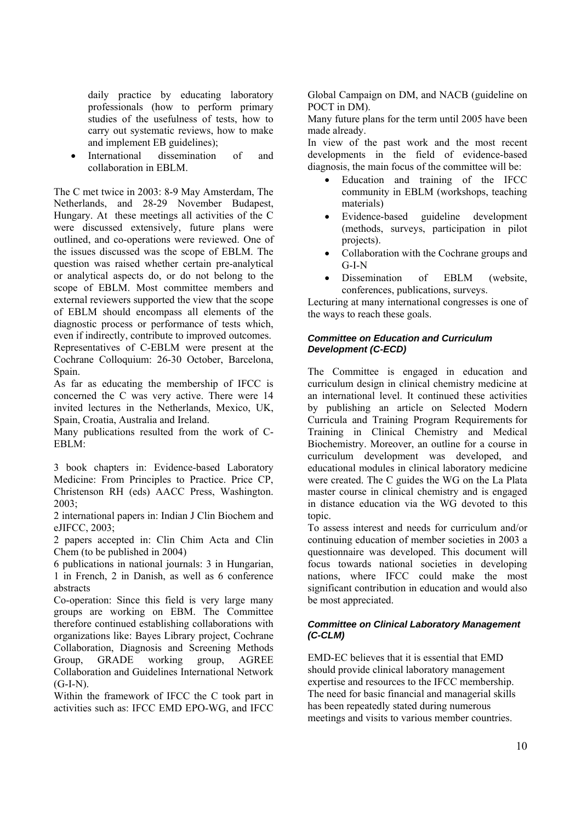daily practice by educating laboratory professionals (how to perform primary studies of the usefulness of tests, how to carry out systematic reviews, how to make and implement EB guidelines);

International dissemination of and collaboration in EBLM.

The C met twice in 2003: 8-9 May Amsterdam, The Netherlands, and 28-29 November Budapest, Hungary. At these meetings all activities of the C were discussed extensively, future plans were outlined, and co-operations were reviewed. One of the issues discussed was the scope of EBLM. The question was raised whether certain pre-analytical or analytical aspects do, or do not belong to the scope of EBLM. Most committee members and external reviewers supported the view that the scope of EBLM should encompass all elements of the diagnostic process or performance of tests which, even if indirectly, contribute to improved outcomes. Representatives of C-EBLM were present at the Cochrane Colloquium: 26-30 October, Barcelona, Spain.

As far as educating the membership of IFCC is concerned the C was very active. There were 14 invited lectures in the Netherlands, Mexico, UK, Spain, Croatia, Australia and Ireland.

Many publications resulted from the work of C-EBLM:

3 book chapters in: Evidence-based Laboratory Medicine: From Principles to Practice. Price CP, Christenson RH (eds) AACC Press, Washington. 2003;

2 international papers in: Indian J Clin Biochem and eJIFCC, 2003;

2 papers accepted in: Clin Chim Acta and Clin Chem (to be published in 2004)

6 publications in national journals: 3 in Hungarian, 1 in French, 2 in Danish, as well as 6 conference abstracts

Co-operation: Since this field is very large many groups are working on EBM. The Committee therefore continued establishing collaborations with organizations like: Bayes Library project, Cochrane Collaboration, Diagnosis and Screening Methods Group, GRADE working group, AGREE Collaboration and Guidelines International Network  $(G-I-N)$ .

Within the framework of IFCC the C took part in activities such as: IFCC EMD EPO-WG, and IFCC

Global Campaign on DM, and NACB (guideline on POCT in DM).

Many future plans for the term until 2005 have been made already.

In view of the past work and the most recent developments in the field of evidence-based diagnosis, the main focus of the committee will be:

- Education and training of the IFCC community in EBLM (workshops, teaching materials)
- Evidence-based guideline development (methods, surveys, participation in pilot projects).
- Collaboration with the Cochrane groups and G-I-N
- Dissemination of EBLM (website, conferences, publications, surveys.

Lecturing at many international congresses is one of the ways to reach these goals.

#### *Committee on Education and Curriculum Development (C-ECD)*

The Committee is engaged in education and curriculum design in clinical chemistry medicine at an international level. It continued these activities by publishing an article on Selected Modern Curricula and Training Program Requirements for Training in Clinical Chemistry and Medical Biochemistry. Moreover, an outline for a course in curriculum development was developed, and educational modules in clinical laboratory medicine were created. The C guides the WG on the La Plata master course in clinical chemistry and is engaged in distance education via the WG devoted to this topic.

To assess interest and needs for curriculum and/or continuing education of member societies in 2003 a questionnaire was developed. This document will focus towards national societies in developing nations, where IFCC could make the most significant contribution in education and would also be most appreciated.

#### *Committee on Clinical Laboratory Management (C-CLM)*

EMD-EC believes that it is essential that EMD should provide clinical laboratory management expertise and resources to the IFCC membership. The need for basic financial and managerial skills has been repeatedly stated during numerous meetings and visits to various member countries.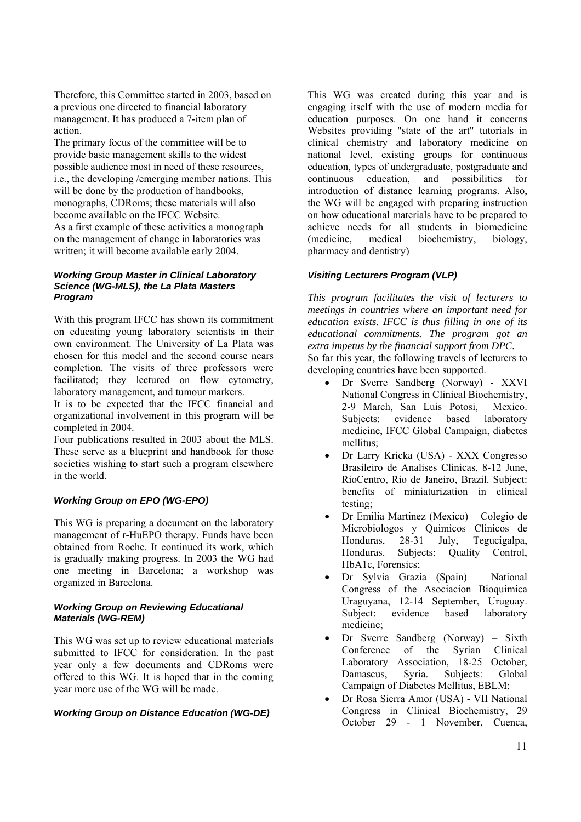Therefore, this Committee started in 2003, based on a previous one directed to financial laboratory management. It has produced a 7-item plan of action.

The primary focus of the committee will be to provide basic management skills to the widest possible audience most in need of these resources, i.e., the developing /emerging member nations. This will be done by the production of handbooks, monographs, CDRoms; these materials will also become available on the IFCC Website. As a first example of these activities a monograph on the management of change in laboratories was written; it will become available early 2004.

#### *Working Group Master in Clinical Laboratory Science (WG-MLS), the La Plata Masters Program*

With this program IFCC has shown its commitment on educating young laboratory scientists in their own environment. The University of La Plata was chosen for this model and the second course nears completion. The visits of three professors were facilitated; they lectured on flow cytometry, laboratory management, and tumour markers.

It is to be expected that the IFCC financial and organizational involvement in this program will be completed in 2004.

Four publications resulted in 2003 about the MLS. These serve as a blueprint and handbook for those societies wishing to start such a program elsewhere in the world.

#### *Working Group on EPO (WG-EPO)*

This WG is preparing a document on the laboratory management of r-HuEPO therapy. Funds have been obtained from Roche. It continued its work, which is gradually making progress. In 2003 the WG had one meeting in Barcelona; a workshop was organized in Barcelona.

#### *Working Group on Reviewing Educational Materials (WG-REM)*

This WG was set up to review educational materials submitted to IFCC for consideration. In the past year only a few documents and CDRoms were offered to this WG. It is hoped that in the coming year more use of the WG will be made.

#### *Working Group on Distance Education (WG-DE)*

This WG was created during this year and is engaging itself with the use of modern media for education purposes. On one hand it concerns Websites providing "state of the art" tutorials in clinical chemistry and laboratory medicine on national level, existing groups for continuous education, types of undergraduate, postgraduate and continuous education, and possibilities for introduction of distance learning programs. Also, the WG will be engaged with preparing instruction on how educational materials have to be prepared to achieve needs for all students in biomedicine (medicine, medical biochemistry, biology, pharmacy and dentistry)

#### *Visiting Lecturers Program (VLP)*

*This program facilitates the visit of lecturers to meetings in countries where an important need for education exists. IFCC is thus filling in one of its educational commitments. The program got an extra impetus by the financial support from DPC.* 

So far this year, the following travels of lecturers to developing countries have been supported.

- Dr Sverre Sandberg (Norway) XXVI National Congress in Clinical Biochemistry, 2-9 March, San Luis Potosi, Mexico. Subjects: evidence based laboratory medicine, IFCC Global Campaign, diabetes mellitus;
- Dr Larry Kricka (USA) XXX Congresso Brasileiro de Analises Clinicas, 8-12 June, RioCentro, Rio de Janeiro, Brazil. Subject: benefits of miniaturization in clinical testing;
- Dr Emilia Martinez (Mexico) Colegio de Microbiologos y Quimicos Clinicos de Honduras, 28-31 July, Tegucigalpa, Honduras. Subjects: Quality Control, HbA1c, Forensics;
- Dr Sylvia Grazia (Spain) National Congress of the Asociacion Bioquimica Uraguyana, 12-14 September, Uruguay. Subject: evidence based laboratory medicine;
- Dr Sverre Sandberg (Norway) Sixth Conference of the Syrian Clinical Laboratory Association, 18-25 October, Damascus, Syria. Subjects: Global Campaign of Diabetes Mellitus, EBLM;
- Dr Rosa Sierra Amor (USA) VII National Congress in Clinical Biochemistry, 29 October 29 - 1 November, Cuenca,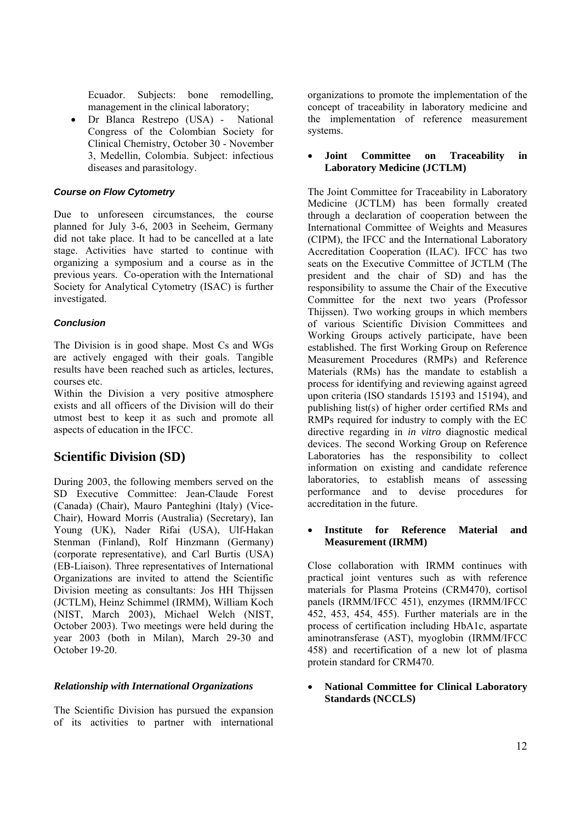Ecuador. Subjects: bone remodelling, management in the clinical laboratory;

• Dr Blanca Restrepo (USA) - National Congress of the Colombian Society for Clinical Chemistry, October 30 - November 3, Medellin, Colombia. Subject: infectious diseases and parasitology.

#### *Course on Flow Cytometry*

Due to unforeseen circumstances, the course planned for July 3-6, 2003 in Seeheim, Germany did not take place. It had to be cancelled at a late stage. Activities have started to continue with organizing a symposium and a course as in the previous years. Co-operation with the International Society for Analytical Cytometry (ISAC) is further investigated.

## *Conclusion*

The Division is in good shape. Most Cs and WGs are actively engaged with their goals. Tangible results have been reached such as articles, lectures, courses etc.

Within the Division a very positive atmosphere exists and all officers of the Division will do their utmost best to keep it as such and promote all aspects of education in the IFCC.

# **Scientific Division (SD)**

During 2003, the following members served on the SD Executive Committee: Jean-Claude Forest (Canada) (Chair), Mauro Panteghini (Italy) (Vice-Chair), Howard Morris (Australia) (Secretary), Ian Young (UK), Nader Rifai (USA), Ulf-Hakan Stenman (Finland), Rolf Hinzmann (Germany) (corporate representative), and Carl Burtis (USA) (EB-Liaison). Three representatives of International Organizations are invited to attend the Scientific Division meeting as consultants: Jos HH Thijssen (JCTLM), Heinz Schimmel (IRMM), William Koch (NIST, March 2003), Michael Welch (NIST, October 2003). Two meetings were held during the year 2003 (both in Milan), March 29-30 and October 19-20.

#### *Relationship with International Organizations*

The Scientific Division has pursued the expansion of its activities to partner with international

organizations to promote the implementation of the concept of traceability in laboratory medicine and the implementation of reference measurement systems.

### • **Joint Committee on Traceability in Laboratory Medicine (JCTLM)**

The Joint Committee for Traceability in Laboratory Medicine (JCTLM) has been formally created through a declaration of cooperation between the International Committee of Weights and Measures (CIPM), the IFCC and the International Laboratory Accreditation Cooperation (ILAC). IFCC has two seats on the Executive Committee of JCTLM (The president and the chair of SD) and has the responsibility to assume the Chair of the Executive Committee for the next two years (Professor Thijssen). Two working groups in which members of various Scientific Division Committees and Working Groups actively participate, have been established. The first Working Group on Reference Measurement Procedures (RMPs) and Reference Materials (RMs) has the mandate to establish a process for identifying and reviewing against agreed upon criteria (ISO standards 15193 and 15194), and publishing list(s) of higher order certified RMs and RMPs required for industry to comply with the EC directive regarding in *in vitro* diagnostic medical devices. The second Working Group on Reference Laboratories has the responsibility to collect information on existing and candidate reference laboratories, to establish means of assessing performance and to devise procedures for accreditation in the future.

#### • **Institute for Reference Material and Measurement (IRMM)**

Close collaboration with IRMM continues with practical joint ventures such as with reference materials for Plasma Proteins (CRM470), cortisol panels (IRMM/IFCC 451), enzymes (IRMM/IFCC 452, 453, 454, 455). Further materials are in the process of certification including HbA1c, aspartate aminotransferase (AST), myoglobin (IRMM/IFCC 458) and recertification of a new lot of plasma protein standard for CRM470.

• **National Committee for Clinical Laboratory Standards (NCCLS)**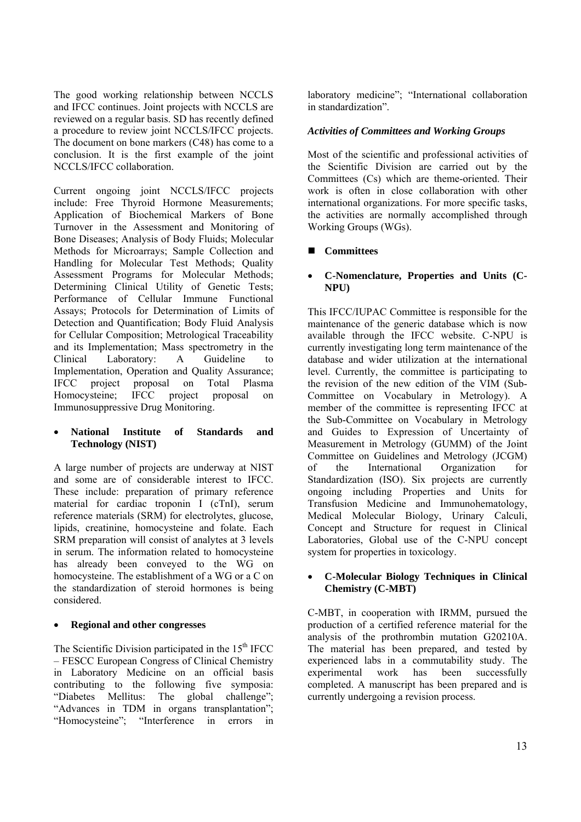The good working relationship between NCCLS and IFCC continues. Joint projects with NCCLS are reviewed on a regular basis. SD has recently defined a procedure to review joint NCCLS/IFCC projects. The document on bone markers (C48) has come to a conclusion. It is the first example of the joint NCCLS/IFCC collaboration.

Current ongoing joint NCCLS/IFCC projects include: Free Thyroid Hormone Measurements; Application of Biochemical Markers of Bone Turnover in the Assessment and Monitoring of Bone Diseases; Analysis of Body Fluids; Molecular Methods for Microarrays; Sample Collection and Handling for Molecular Test Methods; Quality Assessment Programs for Molecular Methods; Determining Clinical Utility of Genetic Tests; Performance of Cellular Immune Functional Assays; Protocols for Determination of Limits of Detection and Quantification; Body Fluid Analysis for Cellular Composition; Metrological Traceability and its Implementation; Mass spectrometry in the Clinical Laboratory: A Guideline to Implementation, Operation and Quality Assurance; IFCC project proposal on Total Plasma Homocysteine; IFCC project proposal on Immunosuppressive Drug Monitoring.

#### • **National Institute of Standards and Technology (NIST)**

A large number of projects are underway at NIST and some are of considerable interest to IFCC. These include: preparation of primary reference material for cardiac troponin I (cTnI), serum reference materials (SRM) for electrolytes, glucose, lipids, creatinine, homocysteine and folate. Each SRM preparation will consist of analytes at 3 levels in serum. The information related to homocysteine has already been conveyed to the WG on homocysteine. The establishment of a WG or a C on the standardization of steroid hormones is being considered.

#### • **Regional and other congresses**

The Scientific Division participated in the  $15<sup>th</sup>$  IFCC – FESCC European Congress of Clinical Chemistry in Laboratory Medicine on an official basis contributing to the following five symposia: "Diabetes Mellitus: The global challenge"; "Advances in TDM in organs transplantation"; "Homocysteine"; "Interference in errors in

laboratory medicine"; "International collaboration in standardization".

## *Activities of Committees and Working Groups*

Most of the scientific and professional activities of the Scientific Division are carried out by the Committees (Cs) which are theme-oriented. Their work is often in close collaboration with other international organizations. For more specific tasks, the activities are normally accomplished through Working Groups (WGs).

## **Committees**

## • **C-Nomenclature, Properties and Units (C-NPU)**

This IFCC/IUPAC Committee is responsible for the maintenance of the generic database which is now available through the IFCC website. C-NPU is currently investigating long term maintenance of the database and wider utilization at the international level. Currently, the committee is participating to the revision of the new edition of the VIM (Sub-Committee on Vocabulary in Metrology). A member of the committee is representing IFCC at the Sub-Committee on Vocabulary in Metrology and Guides to Expression of Uncertainty of Measurement in Metrology (GUMM) of the Joint Committee on Guidelines and Metrology (JCGM) of the International Organization for Standardization (ISO). Six projects are currently ongoing including Properties and Units for Transfusion Medicine and Immunohematology, Medical Molecular Biology, Urinary Calculi, Concept and Structure for request in Clinical Laboratories, Global use of the C-NPU concept system for properties in toxicology.

#### • **C-Molecular Biology Techniques in Clinical Chemistry (C-MBT)**

C-MBT, in cooperation with IRMM, pursued the production of a certified reference material for the analysis of the prothrombin mutation G20210A. The material has been prepared, and tested by experienced labs in a commutability study. The experimental work has been successfully completed. A manuscript has been prepared and is currently undergoing a revision process.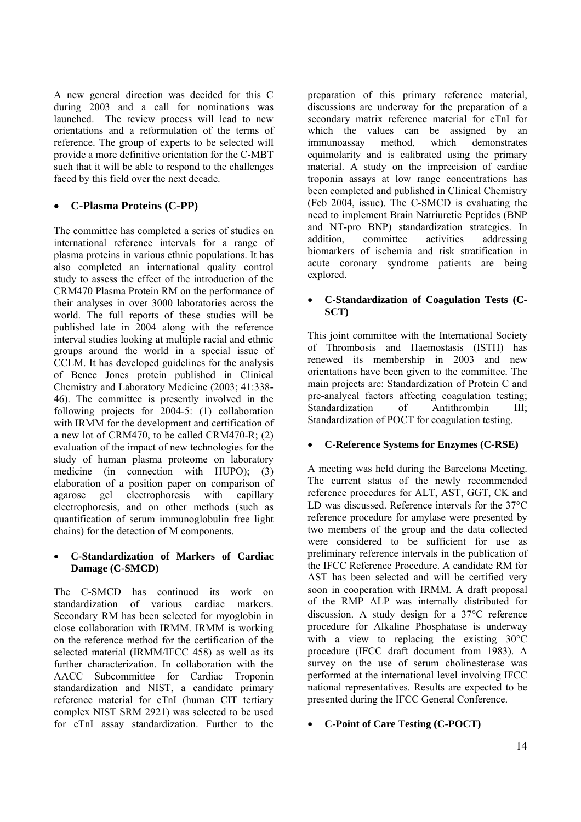A new general direction was decided for this C during 2003 and a call for nominations was launched. The review process will lead to new orientations and a reformulation of the terms of reference. The group of experts to be selected will provide a more definitive orientation for the C-MBT such that it will be able to respond to the challenges faced by this field over the next decade.

# • **C-Plasma Proteins (C-PP)**

The committee has completed a series of studies on international reference intervals for a range of plasma proteins in various ethnic populations. It has also completed an international quality control study to assess the effect of the introduction of the CRM470 Plasma Protein RM on the performance of their analyses in over 3000 laboratories across the world. The full reports of these studies will be published late in 2004 along with the reference interval studies looking at multiple racial and ethnic groups around the world in a special issue of CCLM. It has developed guidelines for the analysis of Bence Jones protein published in Clinical Chemistry and Laboratory Medicine (2003; 41:338- 46). The committee is presently involved in the following projects for 2004-5: (1) collaboration with IRMM for the development and certification of a new lot of CRM470, to be called CRM470-R; (2) evaluation of the impact of new technologies for the study of human plasma proteome on laboratory medicine (in connection with HUPO); (3) elaboration of a position paper on comparison of agarose gel electrophoresis with capillary electrophoresis, and on other methods (such as quantification of serum immunoglobulin free light chains) for the detection of M components.

#### • **C-Standardization of Markers of Cardiac Damage (C-SMCD)**

The C-SMCD has continued its work on standardization of various cardiac markers. Secondary RM has been selected for myoglobin in close collaboration with IRMM. IRMM is working on the reference method for the certification of the selected material (IRMM/IFCC 458) as well as its further characterization. In collaboration with the AACC Subcommittee for Cardiac Troponin standardization and NIST, a candidate primary reference material for cTnI (human CIT tertiary complex NIST SRM 2921) was selected to be used for cTnI assay standardization. Further to the

preparation of this primary reference material, discussions are underway for the preparation of a secondary matrix reference material for cTnI for which the values can be assigned by an immunoassay method, which demonstrates equimolarity and is calibrated using the primary material. A study on the imprecision of cardiac troponin assays at low range concentrations has been completed and published in Clinical Chemistry (Feb 2004, issue). The C-SMCD is evaluating the need to implement Brain Natriuretic Peptides (BNP and NT-pro BNP) standardization strategies. In addition, committee activities addressing biomarkers of ischemia and risk stratification in acute coronary syndrome patients are being explored.

#### • **C-Standardization of Coagulation Tests (C-SCT)**

This joint committee with the International Society of Thrombosis and Haemostasis (ISTH) has renewed its membership in 2003 and new orientations have been given to the committee. The main projects are: Standardization of Protein C and pre-analycal factors affecting coagulation testing; Standardization of Antithrombin III; Standardization of POCT for coagulation testing.

## • **C-Reference Systems for Enzymes (C-RSE)**

A meeting was held during the Barcelona Meeting. The current status of the newly recommended reference procedures for ALT, AST, GGT, CK and LD was discussed. Reference intervals for the 37°C reference procedure for amylase were presented by two members of the group and the data collected were considered to be sufficient for use as preliminary reference intervals in the publication of the IFCC Reference Procedure. A candidate RM for AST has been selected and will be certified very soon in cooperation with IRMM. A draft proposal of the RMP ALP was internally distributed for discussion. A study design for a 37°C reference procedure for Alkaline Phosphatase is underway with a view to replacing the existing 30°C procedure (IFCC draft document from 1983). A survey on the use of serum cholinesterase was performed at the international level involving IFCC national representatives. Results are expected to be presented during the IFCC General Conference.

#### • **C-Point of Care Testing (C-POCT)**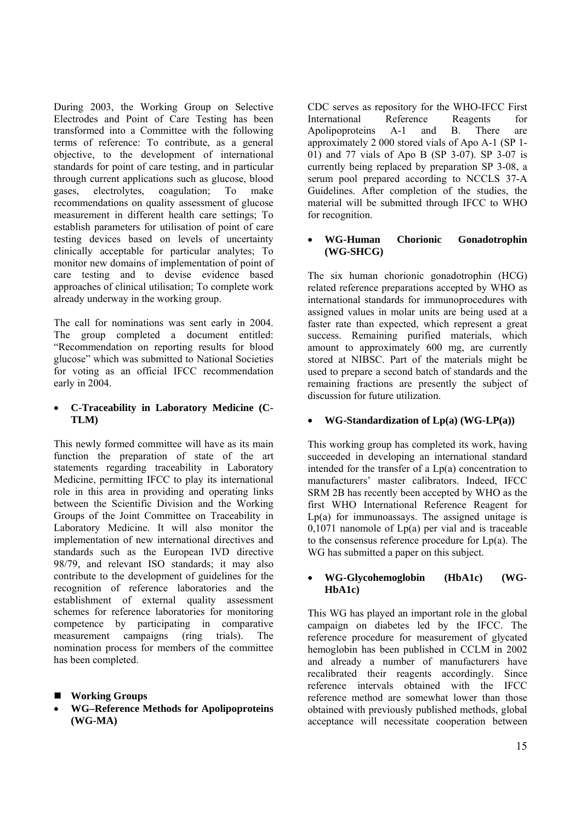During 2003, the Working Group on Selective Electrodes and Point of Care Testing has been transformed into a Committee with the following terms of reference: To contribute, as a general objective, to the development of international standards for point of care testing, and in particular through current applications such as glucose, blood gases, electrolytes, coagulation; To make recommendations on quality assessment of glucose measurement in different health care settings; To establish parameters for utilisation of point of care testing devices based on levels of uncertainty clinically acceptable for particular analytes; To monitor new domains of implementation of point of care testing and to devise evidence based approaches of clinical utilisation; To complete work already underway in the working group.

The call for nominations was sent early in 2004. The group completed a document entitled: "Recommendation on reporting results for blood glucose" which was submitted to National Societies for voting as an official IFCC recommendation early in 2004.

## • **C-Traceability in Laboratory Medicine (C-TLM)**

This newly formed committee will have as its main function the preparation of state of the art statements regarding traceability in Laboratory Medicine, permitting IFCC to play its international role in this area in providing and operating links between the Scientific Division and the Working Groups of the Joint Committee on Traceability in Laboratory Medicine. It will also monitor the implementation of new international directives and standards such as the European IVD directive 98/79, and relevant ISO standards; it may also contribute to the development of guidelines for the recognition of reference laboratories and the establishment of external quality assessment schemes for reference laboratories for monitoring competence by participating in comparative measurement campaigns (ring trials). The nomination process for members of the committee has been completed.

- **Working Groups**
- **WG–Reference Methods for Apolipoproteins (WG-MA)**

CDC serves as repository for the WHO-IFCC First International Reference Reagents for Apolipoproteins A-1 and B. There are approximately 2 000 stored vials of Apo A-1 (SP 1- 01) and 77 vials of Apo B (SP 3-07). SP 3-07 is currently being replaced by preparation SP 3-08, a serum pool prepared according to NCCLS 37-A Guidelines. After completion of the studies, the material will be submitted through IFCC to WHO for recognition.

### • **WG-Human Chorionic Gonadotrophin (WG-SHCG)**

The six human chorionic gonadotrophin (HCG) related reference preparations accepted by WHO as international standards for immunoprocedures with assigned values in molar units are being used at a faster rate than expected, which represent a great success. Remaining purified materials, which amount to approximately 600 mg, are currently stored at NIBSC. Part of the materials might be used to prepare a second batch of standards and the remaining fractions are presently the subject of discussion for future utilization.

## • **WG-Standardization of Lp(a) (WG-LP(a))**

This working group has completed its work, having succeeded in developing an international standard intended for the transfer of a Lp(a) concentration to manufacturers' master calibrators. Indeed, IFCC SRM 2B has recently been accepted by WHO as the first WHO International Reference Reagent for Lp(a) for immunoassays. The assigned unitage is  $0.1071$  nanomole of  $Lp(a)$  per vial and is traceable to the consensus reference procedure for  $Lp(a)$ . The WG has submitted a paper on this subject.

#### • **WG-Glycohemoglobin (HbA1c) (WG-HbA1c)**

This WG has played an important role in the global campaign on diabetes led by the IFCC. The reference procedure for measurement of glycated hemoglobin has been published in CCLM in 2002 and already a number of manufacturers have recalibrated their reagents accordingly. Since reference intervals obtained with the IFCC reference method are somewhat lower than those obtained with previously published methods, global acceptance will necessitate cooperation between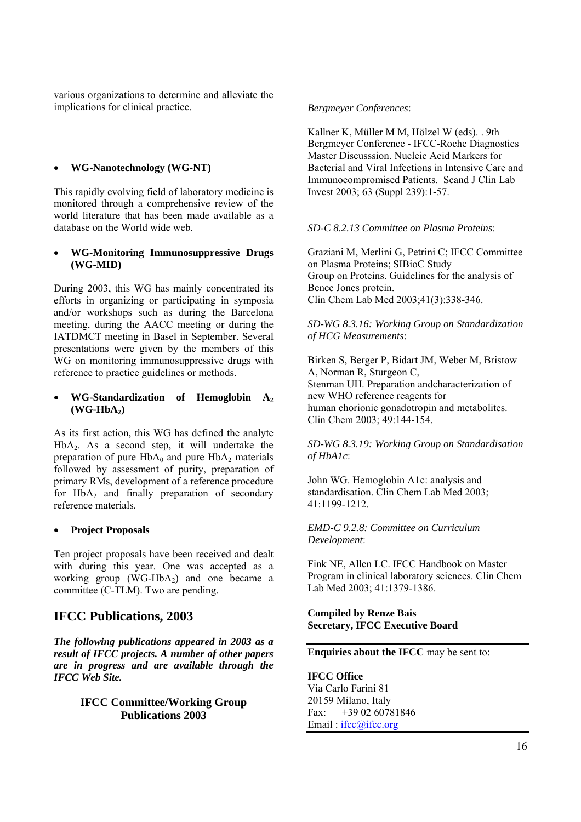various organizations to determine and alleviate the implications for clinical practice.

#### • **WG-Nanotechnology (WG-NT)**

This rapidly evolving field of laboratory medicine is monitored through a comprehensive review of the world literature that has been made available as a database on the World wide web.

#### • **WG-Monitoring Immunosuppressive Drugs (WG-MID)**

During 2003, this WG has mainly concentrated its efforts in organizing or participating in symposia and/or workshops such as during the Barcelona meeting, during the AACC meeting or during the IATDMCT meeting in Basel in September. Several presentations were given by the members of this WG on monitoring immunosuppressive drugs with reference to practice guidelines or methods.

#### • **WG-Standardization of Hemoglobin A2**  $(WG-HbA_2)$

As its first action, this WG has defined the analyte  $HbA<sub>2</sub>$ . As a second step, it will undertake the preparation of pure  $HbA_0$  and pure  $HbA_2$  materials followed by assessment of purity, preparation of primary RMs, development of a reference procedure for  $HbA_2$  and finally preparation of secondary reference materials.

#### • **Project Proposals**

Ten project proposals have been received and dealt with during this year. One was accepted as a working group  $(WG-HbA_2)$  and one became a committee (C-TLM). Two are pending.

# **IFCC Publications, 2003**

*The following publications appeared in 2003 as a result of IFCC projects. A number of other papers are in progress and are available through the IFCC Web Site.* 

#### **IFCC Committee/Working Group Publications 2003**

#### *Bergmeyer Conferences*:

Kallner K, Müller M M, Hölzel W (eds). . 9th Bergmeyer Conference - IFCC-Roche Diagnostics Master Discusssion. Nucleic Acid Markers for Bacterial and Viral Infections in Intensive Care and Immunocompromised Patients. Scand J Clin Lab Invest 2003; 63 (Suppl 239):1-57.

#### *SD-C 8.2.13 Committee on Plasma Proteins*:

Graziani M, Merlini G, Petrini C; IFCC Committee on Plasma Proteins; SIBioC Study Group on Proteins. Guidelines for the analysis of Bence Jones protein. Clin Chem Lab Med 2003;41(3):338-346.

*SD-WG 8.3.16: Working Group on Standardization of HCG Measurements*:

Birken S, Berger P, Bidart JM, Weber M, Bristow A, Norman R, Sturgeon C, Stenman UH. Preparation andcharacterization of new WHO reference reagents for human chorionic gonadotropin and metabolites. Clin Chem 2003; 49:144-154.

*SD-WG 8.3.19: Working Group on Standardisation of HbA1c*:

John WG. Hemoglobin A1c: analysis and standardisation. Clin Chem Lab Med 2003; 41:1199-1212.

*EMD-C 9.2.8: Committee on Curriculum Development*:

Fink NE, Allen LC. IFCC Handbook on Master Program in clinical laboratory sciences. Clin Chem Lab Med 2003; 41:1379-1386.

#### **Compiled by Renze Bais Secretary, IFCC Executive Board**

**Enquiries about the IFCC** may be sent to:

**IFCC Office**  Via Carlo Farini 81 20159 Milano, Italy Fax: +39 02 60781846 Email: ifcc@ifcc.org